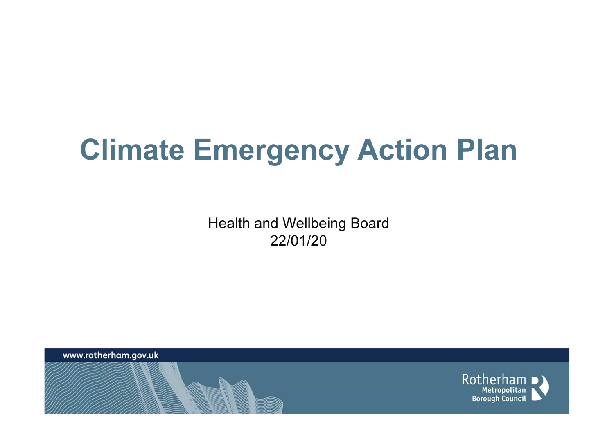## Climate Emergency Action Plan

Health and Wellbeing Board22/01/20

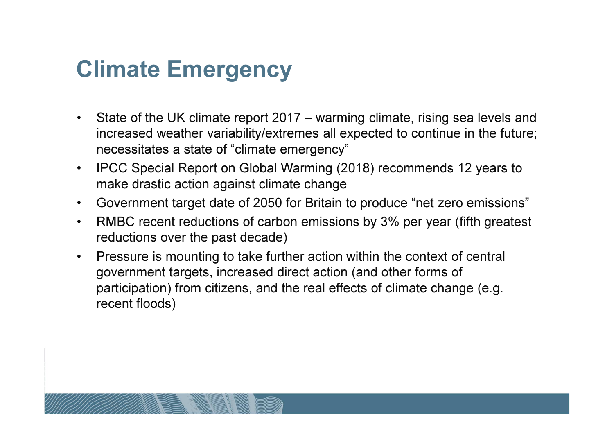## Climate Emergency

- • State of the UK climate report 2017 – warming climate, rising sea levels and increased weather variability/extremes all expected to continue in the future; necessitates a state of "climate emergency"
- • IPCC Special Report on Global Warming (2018) recommends 12 years to make drastic action against climate change
- Government target date of 2050 for Britain to produce "net zero emissions"
- • RMBC recent reductions of carbon emissions by 3% per year (fifth greatest reductions over the past decade)
- • Pressure is mounting to take further action within the context of central government targets, increased direct action (and other forms of participation) from citizens, and the real effects of climate change (e.g. recent floods)